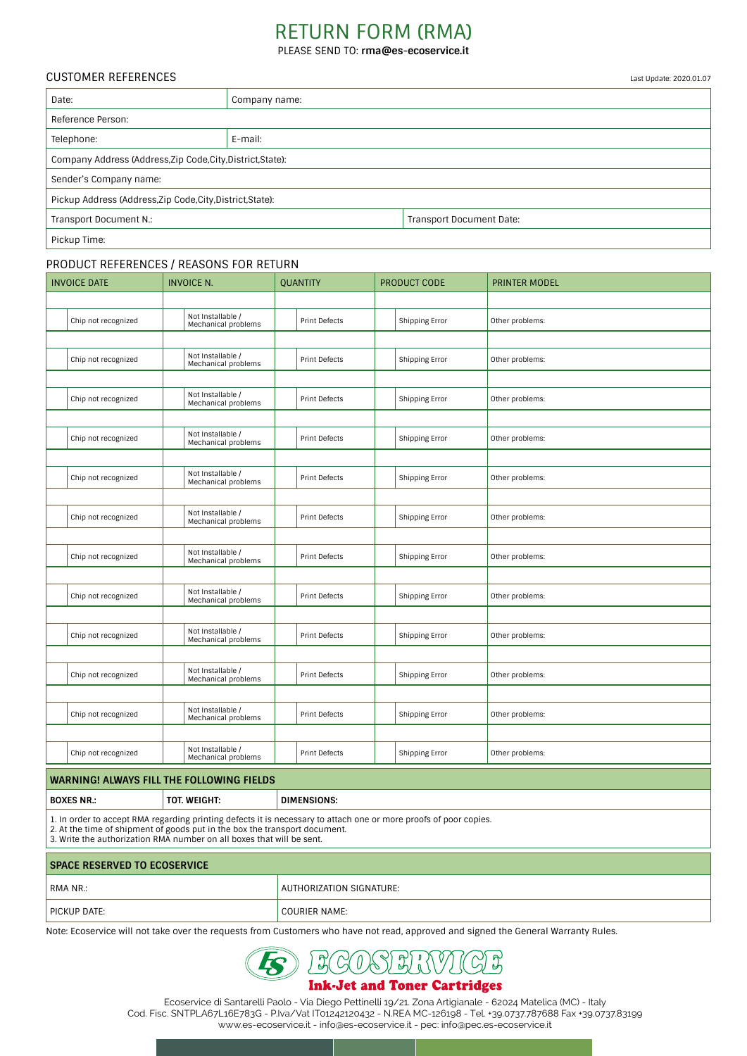# RETURN FORM (RMA)

PLEASE SEND TO: **rma@es-ecoservice.it**

### CUSTOMER REFERENCES

| Date:                                                       | Company name: |                          |  |
|-------------------------------------------------------------|---------------|--------------------------|--|
| Reference Person:                                           |               |                          |  |
| Telephone:                                                  | E-mail:       |                          |  |
| Company Address (Address, Zip Code, City, District, State): |               |                          |  |
| Sender's Company name:                                      |               |                          |  |
| Pickup Address (Address, Zip Code, City, District, State):  |               |                          |  |
| Transport Document N.:                                      |               | Transport Document Date: |  |
| Pickup Time:                                                |               |                          |  |

### PRODUCT REFERENCES / REASONS FOR RETURN

| Not Installable /<br>Chip not recognized<br><b>Print Defects</b><br>Shipping Error<br>Other problems:<br>Mechanical problems |  |
|------------------------------------------------------------------------------------------------------------------------------|--|
|                                                                                                                              |  |
|                                                                                                                              |  |
|                                                                                                                              |  |
| Not Installable /<br>Chip not recognized<br>Shipping Error<br><b>Print Defects</b><br>Other problems:<br>Mechanical problems |  |
|                                                                                                                              |  |
| Not Installable /<br>Chip not recognized<br>Shipping Error<br>Other problems:<br><b>Print Defects</b><br>Mechanical problems |  |
|                                                                                                                              |  |
| Not Installable /<br>Chip not recognized<br><b>Print Defects</b><br>Shipping Error<br>Other problems:<br>Mechanical problems |  |
|                                                                                                                              |  |
| Not Installable /<br>Chip not recognized<br><b>Print Defects</b><br>Shipping Error<br>Other problems:<br>Mechanical problems |  |
|                                                                                                                              |  |
| Not Installable /<br><b>Print Defects</b><br>Other problems:<br>Chip not recognized<br>Shipping Error<br>Mechanical problems |  |
|                                                                                                                              |  |
| Not Installable /<br>Chip not recognized<br><b>Print Defects</b><br>Shipping Error<br>Other problems:<br>Mechanical problems |  |
|                                                                                                                              |  |
| Not Installable /<br>Chip not recognized<br>Shipping Error<br>Other problems:<br><b>Print Defects</b><br>Mechanical problems |  |
|                                                                                                                              |  |
| Not Installable /<br>Chip not recognized<br>Shipping Error<br><b>Print Defects</b><br>Other problems:<br>Mechanical problems |  |
|                                                                                                                              |  |
| Not Installable /<br>Chip not recognized<br>Shipping Error<br>Other problems:<br><b>Print Defects</b><br>Mechanical problems |  |
|                                                                                                                              |  |
| Not Installable /<br>Chip not recognized<br><b>Print Defects</b><br>Shipping Error<br>Other problems:<br>Mechanical problems |  |
|                                                                                                                              |  |
| Not Installable /<br>Chip not recognized<br><b>Print Defects</b><br>Shipping Error<br>Other problems:<br>Mechanical problems |  |

## **WARNING! ALWAYS FILL THE FOLLOWING FIELDS**

**BOXES NR.: TOT. WEIGHT: DIMENSIONS:**

1. In order to accept RMA regarding printing defects it is necessary to attach one or more proofs of poor copies.

2. At the time of shipment of goods put in the box the transport document. 3. Write the authorization RMA number on all boxes that will be sent.

## **SPACE RESERVED TO ECOSERVICE** RMA NR.: RMA NR.: RMA NR.: 2008. AUTHORIZATION SIGNATURE: PICKUP DATE: COURIER NAME:

Note: Ecoservice will not take over the requests from Customers who have not read, approved and signed the General Warranty Rules.



## **Ink-Jet and Toner Cartridges**

Ecoservice di Santarelli Paolo - Via Diego Pettinelli 19/21. Zona Artigianale - 62024 Matelica (MC) - Italy Cod. Fisc. SNTPLA67L16E783G - P.Iva/Vat IT01242120432 - N.REA MC-126198 - Tel. +39.0737.787688 Fax +39.0737.83199 www.es-ecoservice.it - info@es-ecoservice.it - pec: info@pec.es-ecoservice.it

Last Update: 2020.01.07